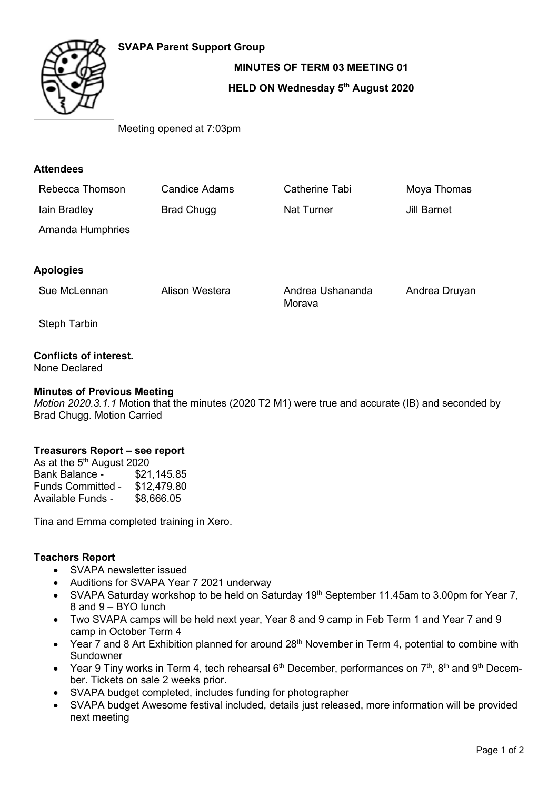# **SVAPA Parent Support Group**



**MINUTES OF TERM 03 MEETING 01**

### **HELD ON Wednesday 5th August 2020**

Meeting opened at 7:03pm

## **Attendees**

| Rebecca Thomson  | Candice Adams     | Catherine Tabi    | Moya Thomas |
|------------------|-------------------|-------------------|-------------|
| lain Bradley     | <b>Brad Chugg</b> | <b>Nat Turner</b> | Jill Barnet |
| Amanda Humphries |                   |                   |             |

# **Apologies**

Sue McLennan Alison Westera Andrea Ushananda

Morava

Andrea Druyan

Steph Tarbin

# **Conflicts of interest.**

None Declared

### **Minutes of Previous Meeting**

*Motion 2020.3.1.1* Motion that the minutes (2020 T2 M1) were true and accurate (IB) and seconded by Brad Chugg. Motion Carried

### **Treasurers Report – see report**

As at the  $5<sup>th</sup>$  August 2020<br>Bank Balance -  $$21,145.85$ Bank Balance -Funds Committed - \$12,479.80 Available Funds - \$8,666.05

Tina and Emma completed training in Xero.

### **Teachers Report**

- SVAPA newsletter issued
- Auditions for SVAPA Year 7 2021 underway
- SVAPA Saturday workshop to be held on Saturday 19<sup>th</sup> September 11.45am to 3.00pm for Year 7, 8 and 9 – BYO lunch
- Two SVAPA camps will be held next year, Year 8 and 9 camp in Feb Term 1 and Year 7 and 9 camp in October Term 4
- Year 7 and 8 Art Exhibition planned for around 28<sup>th</sup> November in Term 4, potential to combine with Sundowner
- Year 9 Tiny works in Term 4, tech rehearsal  $6<sup>th</sup>$  December, performances on  $7<sup>th</sup>$ ,  $8<sup>th</sup>$  and  $9<sup>th</sup>$  December. Tickets on sale 2 weeks prior.
- SVAPA budget completed, includes funding for photographer
- SVAPA budget Awesome festival included, details just released, more information will be provided next meeting